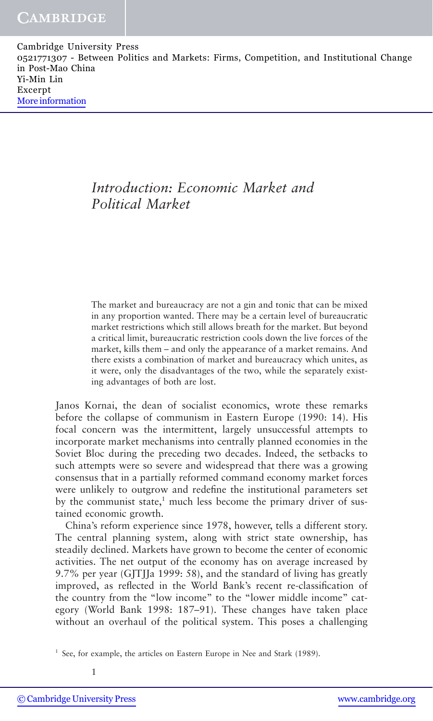# *Introduction: Economic Market and Political Market*

The market and bureaucracy are not a gin and tonic that can be mixed in any proportion wanted. There may be a certain level of bureaucratic market restrictions which still allows breath for the market. But beyond a critical limit, bureaucratic restriction cools down the live forces of the market, kills them – and only the appearance of a market remains. And there exists a combination of market and bureaucracy which unites, as it were, only the disadvantages of the two, while the separately existing advantages of both are lost.

Janos Kornai, the dean of socialist economics, wrote these remarks before the collapse of communism in Eastern Europe (1990: 14). His focal concern was the intermittent, largely unsuccessful attempts to incorporate market mechanisms into centrally planned economies in the Soviet Bloc during the preceding two decades. Indeed, the setbacks to such attempts were so severe and widespread that there was a growing consensus that in a partially reformed command economy market forces were unlikely to outgrow and redefine the institutional parameters set by the communist state,<sup>1</sup> much less become the primary driver of sustained economic growth.

China's reform experience since 1978, however, tells a different story. The central planning system, along with strict state ownership, has steadily declined. Markets have grown to become the center of economic activities. The net output of the economy has on average increased by 9.7% per year (GJTJJa 1999: 58), and the standard of living has greatly improved, as reflected in the World Bank's recent re-classification of the country from the "low income" to the "lower middle income" category (World Bank 1998: 187–91). These changes have taken place without an overhaul of the political system. This poses a challenging

<sup>1</sup> See, for example, the articles on Eastern Europe in Nee and Stark (1989).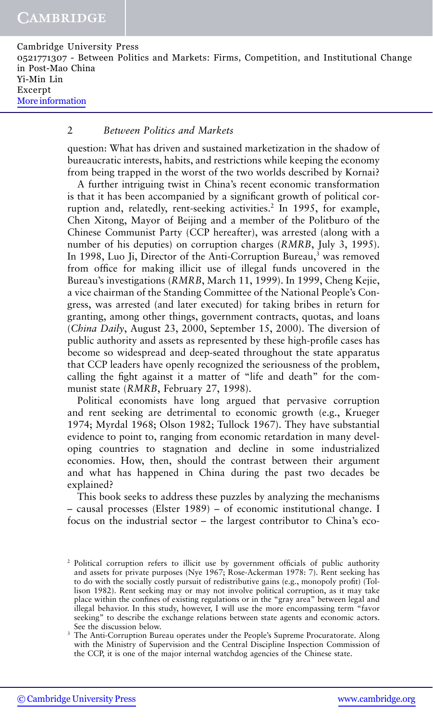Cambridge University Press

0521771307 - Between Politics and Markets: Firms, Competition, and Institutional Change in Post-Mao China Yi-Min Lin Excerpt

[More information](http://www.cambridge.org/0521771307)

## 2 *Between Politics and Markets*

question: What has driven and sustained marketization in the shadow of bureaucratic interests, habits, and restrictions while keeping the economy from being trapped in the worst of the two worlds described by Kornai?

A further intriguing twist in China's recent economic transformation is that it has been accompanied by a significant growth of political corruption and, relatedly, rent-seeking activities.<sup>2</sup> In 1995, for example, Chen Xitong, Mayor of Beijing and a member of the Politburo of the Chinese Communist Party (CCP hereafter), was arrested (along with a number of his deputies) on corruption charges (*RMRB*, July 3, 1995). In 1998, Luo Ji, Director of the Anti-Corruption Bureau,<sup>3</sup> was removed from office for making illicit use of illegal funds uncovered in the Bureau's investigations (*RMRB*, March 11, 1999). In 1999, Cheng Kejie, a vice chairman of the Standing Committee of the National People's Congress, was arrested (and later executed) for taking bribes in return for granting, among other things, government contracts, quotas, and loans (*China Daily*, August 23, 2000, September 15, 2000). The diversion of public authority and assets as represented by these high-profile cases has become so widespread and deep-seated throughout the state apparatus that CCP leaders have openly recognized the seriousness of the problem, calling the fight against it a matter of "life and death" for the communist state (*RMRB*, February 27, 1998).

Political economists have long argued that pervasive corruption and rent seeking are detrimental to economic growth (e.g., Krueger 1974; Myrdal 1968; Olson 1982; Tullock 1967). They have substantial evidence to point to, ranging from economic retardation in many developing countries to stagnation and decline in some industrialized economies. How, then, should the contrast between their argument and what has happened in China during the past two decades be explained?

This book seeks to address these puzzles by analyzing the mechanisms – causal processes (Elster 1989) – of economic institutional change. I focus on the industrial sector – the largest contributor to China's eco-

<sup>&</sup>lt;sup>2</sup> Political corruption refers to illicit use by government officials of public authority and assets for private purposes (Nye 1967; Rose-Ackerman 1978: 7). Rent seeking has to do with the socially costly pursuit of redistributive gains (e.g., monopoly profit) (Tollison 1982). Rent seeking may or may not involve political corruption, as it may take place within the confines of existing regulations or in the "gray area" between legal and illegal behavior. In this study, however, I will use the more encompassing term "favor seeking" to describe the exchange relations between state agents and economic actors. See the discussion below.

The Anti-Corruption Bureau operates under the People's Supreme Procuratorate. Along with the Ministry of Supervision and the Central Discipline Inspection Commission of the CCP, it is one of the major internal watchdog agencies of the Chinese state.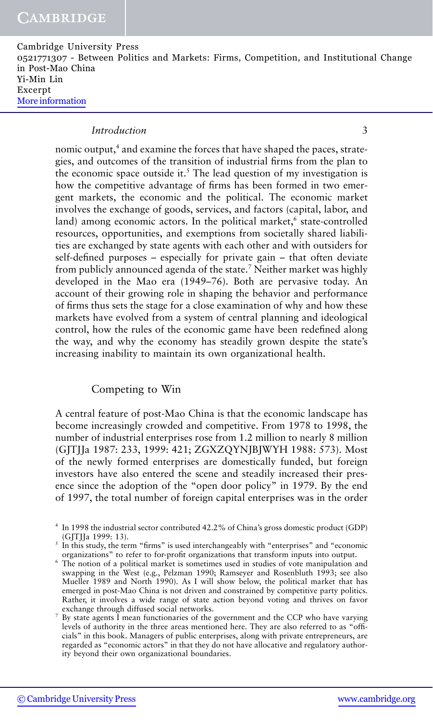#### *Introduction* 3

nomic output,<sup>4</sup> and examine the forces that have shaped the paces, strategies, and outcomes of the transition of industrial firms from the plan to the economic space outside it.<sup>5</sup> The lead question of my investigation is how the competitive advantage of firms has been formed in two emergent markets, the economic and the political. The economic market involves the exchange of goods, services, and factors (capital, labor, and land) among economic actors. In the political market,<sup>6</sup> state-controlled resources, opportunities, and exemptions from societally shared liabilities are exchanged by state agents with each other and with outsiders for self-defined purposes – especially for private gain – that often deviate from publicly announced agenda of the state.7 Neither market was highly developed in the Mao era (1949–76). Both are pervasive today. An account of their growing role in shaping the behavior and performance of firms thus sets the stage for a close examination of why and how these markets have evolved from a system of central planning and ideological control, how the rules of the economic game have been redefined along the way, and why the economy has steadily grown despite the state's increasing inability to maintain its own organizational health.

## Competing to Win

A central feature of post-Mao China is that the economic landscape has become increasingly crowded and competitive. From 1978 to 1998, the number of industrial enterprises rose from 1.2 million to nearly 8 million (GJTJJa 1987: 233, 1999: 421; ZGXZQYNJBJWYH 1988: 573). Most of the newly formed enterprises are domestically funded, but foreign investors have also entered the scene and steadily increased their presence since the adoption of the "open door policy" in 1979. By the end of 1997, the total number of foreign capital enterprises was in the order

<sup>4</sup> In 1998 the industrial sector contributed 42.2% of China's gross domestic product (GDP) (GJTJJa 1999: 13).

 $5$  In this study, the term "firms" is used interchangeably with "enterprises" and "economic organizations" to refer to for-profit organizations that transform inputs into output.

<sup>&</sup>lt;sup>6</sup> The notion of a political market is sometimes used in studies of vote manipulation and swapping in the West (e.g., Pelzman 1990; Ramseyer and Rosenbluth 1993; see also Mueller 1989 and North 1990). As I will show below, the political market that has emerged in post-Mao China is not driven and constrained by competitive party politics. Rather, it involves a wide range of state action beyond voting and thrives on favor exchange through diffused social networks.

 $\frac{7}{7}$  By state agents I mean functionaries of the government and the CCP who have varying levels of authority in the three areas mentioned here. They are also referred to as "officials" in this book. Managers of public enterprises, along with private entrepreneurs, are regarded as "economic actors" in that they do not have allocative and regulatory authority beyond their own organizational boundaries.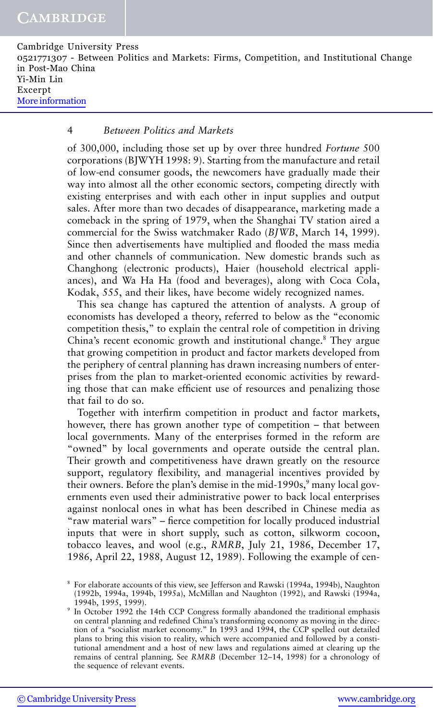## **CAMBRIDGE**

Cambridge University Press 0521771307 - Between Politics and Markets: Firms, Competition, and Institutional Change in Post-Mao China Yi-Min Lin Excerpt [More information](http://www.cambridge.org/0521771307)

#### 4 *Between Politics and Markets*

of 300,000, including those set up by over three hundred *Fortune* 500 corporations (BJWYH 1998: 9). Starting from the manufacture and retail of low-end consumer goods, the newcomers have gradually made their way into almost all the other economic sectors, competing directly with existing enterprises and with each other in input supplies and output sales. After more than two decades of disappearance, marketing made a comeback in the spring of 1979, when the Shanghai TV station aired a commercial for the Swiss watchmaker Rado (*BJWB*, March 14, 1999). Since then advertisements have multiplied and flooded the mass media and other channels of communication. New domestic brands such as Changhong (electronic products), Haier (household electrical appliances), and Wa Ha Ha (food and beverages), along with Coca Cola, Kodak, 555, and their likes, have become widely recognized names.

This sea change has captured the attention of analysts. A group of economists has developed a theory, referred to below as the "economic competition thesis," to explain the central role of competition in driving China's recent economic growth and institutional change.<sup>8</sup> They argue that growing competition in product and factor markets developed from the periphery of central planning has drawn increasing numbers of enterprises from the plan to market-oriented economic activities by rewarding those that can make efficient use of resources and penalizing those that fail to do so.

Together with interfirm competition in product and factor markets, however, there has grown another type of competition – that between local governments. Many of the enterprises formed in the reform are "owned" by local governments and operate outside the central plan. Their growth and competitiveness have drawn greatly on the resource support, regulatory flexibility, and managerial incentives provided by their owners. Before the plan's demise in the mid-1990s,<sup>9</sup> many local governments even used their administrative power to back local enterprises against nonlocal ones in what has been described in Chinese media as "raw material wars" – fierce competition for locally produced industrial inputs that were in short supply, such as cotton, silkworm cocoon, tobacco leaves, and wool (e.g., *RMRB*, July 21, 1986, December 17, 1986, April 22, 1988, August 12, 1989). Following the example of cen-

<sup>8</sup> For elaborate accounts of this view, see Jefferson and Rawski (1994a, 1994b), Naughton (1992b, 1994a, 1994b, 1995a), McMillan and Naughton (1992), and Rawski (1994a, 1994b, 1995, 1999).

<sup>&</sup>lt;sup>9</sup> In October 1992 the 14th CCP Congress formally abandoned the traditional emphasis on central planning and redefined China's transforming economy as moving in the direction of a "socialist market economy." In 1993 and 1994, the CCP spelled out detailed plans to bring this vision to reality, which were accompanied and followed by a constitutional amendment and a host of new laws and regulations aimed at clearing up the remains of central planning. See *RMRB* (December 12–14, 1998) for a chronology of the sequence of relevant events.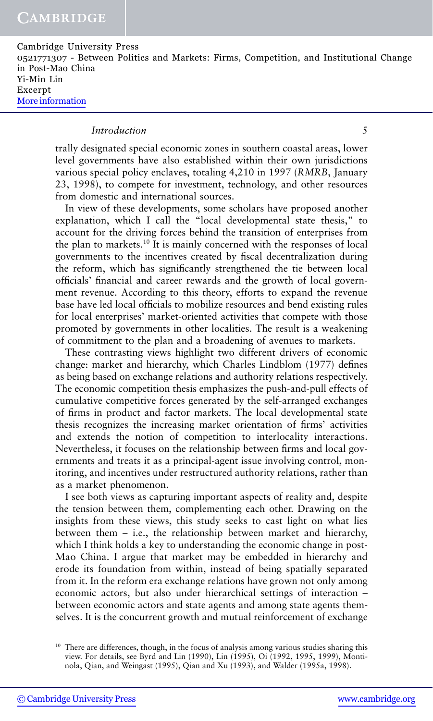### *Introduction* 5

trally designated special economic zones in southern coastal areas, lower level governments have also established within their own jurisdictions various special policy enclaves, totaling 4,210 in 1997 (*RMRB*, January 23, 1998), to compete for investment, technology, and other resources from domestic and international sources.

In view of these developments, some scholars have proposed another explanation, which I call the "local developmental state thesis," to account for the driving forces behind the transition of enterprises from the plan to markets.10 It is mainly concerned with the responses of local governments to the incentives created by fiscal decentralization during the reform, which has significantly strengthened the tie between local officials' financial and career rewards and the growth of local government revenue. According to this theory, efforts to expand the revenue base have led local officials to mobilize resources and bend existing rules for local enterprises' market-oriented activities that compete with those promoted by governments in other localities. The result is a weakening of commitment to the plan and a broadening of avenues to markets.

These contrasting views highlight two different drivers of economic change: market and hierarchy, which Charles Lindblom (1977) defines as being based on exchange relations and authority relations respectively. The economic competition thesis emphasizes the push-and-pull effects of cumulative competitive forces generated by the self-arranged exchanges of firms in product and factor markets. The local developmental state thesis recognizes the increasing market orientation of firms' activities and extends the notion of competition to interlocality interactions. Nevertheless, it focuses on the relationship between firms and local governments and treats it as a principal-agent issue involving control, monitoring, and incentives under restructured authority relations, rather than as a market phenomenon.

I see both views as capturing important aspects of reality and, despite the tension between them, complementing each other. Drawing on the insights from these views, this study seeks to cast light on what lies between them – i.e., the relationship between market and hierarchy, which I think holds a key to understanding the economic change in post-Mao China. I argue that market may be embedded in hierarchy and erode its foundation from within, instead of being spatially separated from it. In the reform era exchange relations have grown not only among economic actors, but also under hierarchical settings of interaction – between economic actors and state agents and among state agents themselves. It is the concurrent growth and mutual reinforcement of exchange

<sup>&</sup>lt;sup>10</sup> There are differences, though, in the focus of analysis among various studies sharing this view. For details, see Byrd and Lin (1990), Lin (1995), Oi (1992, 1995, 1999), Montinola, Qian, and Weingast (1995), Qian and Xu (1993), and Walder (1995a, 1998).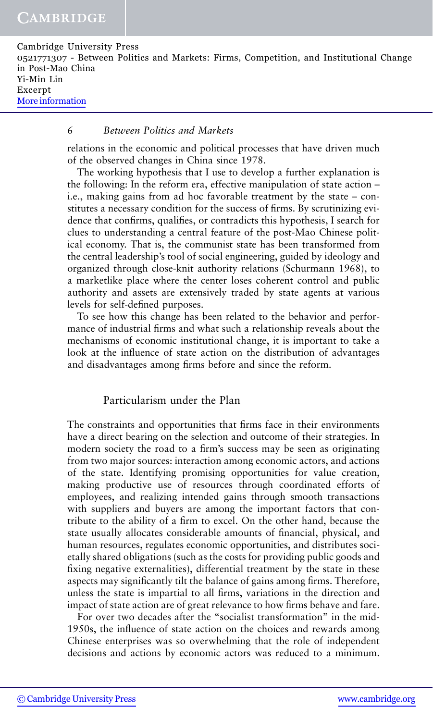### 6 *Between Politics and Markets*

relations in the economic and political processes that have driven much of the observed changes in China since 1978.

The working hypothesis that I use to develop a further explanation is the following: In the reform era, effective manipulation of state action – i.e., making gains from ad hoc favorable treatment by the state – constitutes a necessary condition for the success of firms. By scrutinizing evidence that confirms, qualifies, or contradicts this hypothesis, I search for clues to understanding a central feature of the post-Mao Chinese political economy. That is, the communist state has been transformed from the central leadership's tool of social engineering, guided by ideology and organized through close-knit authority relations (Schurmann 1968), to a marketlike place where the center loses coherent control and public authority and assets are extensively traded by state agents at various levels for self-defined purposes.

To see how this change has been related to the behavior and performance of industrial firms and what such a relationship reveals about the mechanisms of economic institutional change, it is important to take a look at the influence of state action on the distribution of advantages and disadvantages among firms before and since the reform.

## Particularism under the Plan

The constraints and opportunities that firms face in their environments have a direct bearing on the selection and outcome of their strategies. In modern society the road to a firm's success may be seen as originating from two major sources: interaction among economic actors, and actions of the state. Identifying promising opportunities for value creation, making productive use of resources through coordinated efforts of employees, and realizing intended gains through smooth transactions with suppliers and buyers are among the important factors that contribute to the ability of a firm to excel. On the other hand, because the state usually allocates considerable amounts of financial, physical, and human resources, regulates economic opportunities, and distributes societally shared obligations (such as the costs for providing public goods and fixing negative externalities), differential treatment by the state in these aspects may significantly tilt the balance of gains among firms. Therefore, unless the state is impartial to all firms, variations in the direction and impact of state action are of great relevance to how firms behave and fare.

For over two decades after the "socialist transformation" in the mid-1950s, the influence of state action on the choices and rewards among Chinese enterprises was so overwhelming that the role of independent decisions and actions by economic actors was reduced to a minimum.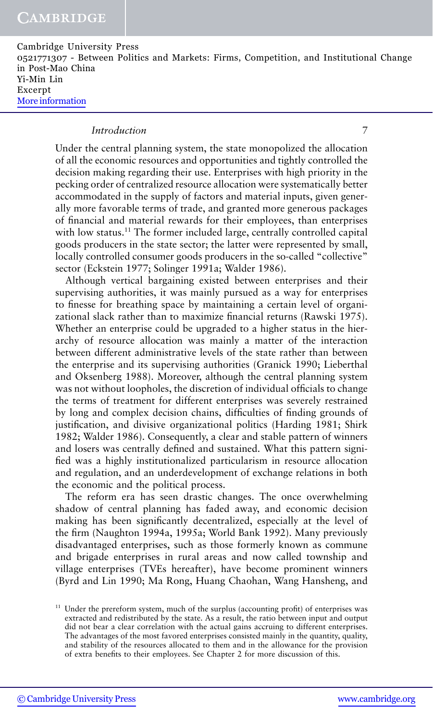#### *Introduction* 7

Under the central planning system, the state monopolized the allocation of all the economic resources and opportunities and tightly controlled the decision making regarding their use. Enterprises with high priority in the pecking order of centralized resource allocation were systematically better accommodated in the supply of factors and material inputs, given generally more favorable terms of trade, and granted more generous packages of financial and material rewards for their employees, than enterprises with low status.<sup>11</sup> The former included large, centrally controlled capital goods producers in the state sector; the latter were represented by small, locally controlled consumer goods producers in the so-called "collective" sector (Eckstein 1977; Solinger 1991a; Walder 1986).

Although vertical bargaining existed between enterprises and their supervising authorities, it was mainly pursued as a way for enterprises to finesse for breathing space by maintaining a certain level of organizational slack rather than to maximize financial returns (Rawski 1975). Whether an enterprise could be upgraded to a higher status in the hierarchy of resource allocation was mainly a matter of the interaction between different administrative levels of the state rather than between the enterprise and its supervising authorities (Granick 1990; Lieberthal and Oksenberg 1988). Moreover, although the central planning system was not without loopholes, the discretion of individual officials to change the terms of treatment for different enterprises was severely restrained by long and complex decision chains, difficulties of finding grounds of justification, and divisive organizational politics (Harding 1981; Shirk 1982; Walder 1986). Consequently, a clear and stable pattern of winners and losers was centrally defined and sustained. What this pattern signified was a highly institutionalized particularism in resource allocation and regulation, and an underdevelopment of exchange relations in both the economic and the political process.

The reform era has seen drastic changes. The once overwhelming shadow of central planning has faded away, and economic decision making has been significantly decentralized, especially at the level of the firm (Naughton 1994a, 1995a; World Bank 1992). Many previously disadvantaged enterprises, such as those formerly known as commune and brigade enterprises in rural areas and now called township and village enterprises (TVEs hereafter), have become prominent winners (Byrd and Lin 1990; Ma Rong, Huang Chaohan, Wang Hansheng, and

 $11$  Under the prereform system, much of the surplus (accounting profit) of enterprises was extracted and redistributed by the state. As a result, the ratio between input and output did not bear a clear correlation with the actual gains accruing to different enterprises. The advantages of the most favored enterprises consisted mainly in the quantity, quality, and stability of the resources allocated to them and in the allowance for the provision of extra benefits to their employees. See Chapter 2 for more discussion of this.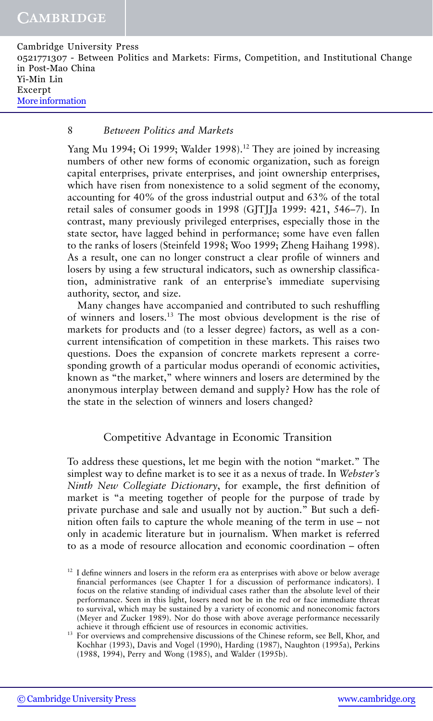## **CAMBRIDGE**

Cambridge University Press 0521771307 - Between Politics and Markets: Firms, Competition, and Institutional Change in Post-Mao China Yi-Min Lin Excerpt [More information](http://www.cambridge.org/0521771307)

### 8 *Between Politics and Markets*

Yang Mu 1994; Oi 1999; Walder 1998).<sup>12</sup> They are joined by increasing numbers of other new forms of economic organization, such as foreign capital enterprises, private enterprises, and joint ownership enterprises, which have risen from nonexistence to a solid segment of the economy, accounting for 40% of the gross industrial output and 63% of the total retail sales of consumer goods in 1998 (GJTJJa 1999: 421, 546–7). In contrast, many previously privileged enterprises, especially those in the state sector, have lagged behind in performance; some have even fallen to the ranks of losers (Steinfeld 1998; Woo 1999; Zheng Haihang 1998). As a result, one can no longer construct a clear profile of winners and losers by using a few structural indicators, such as ownership classification, administrative rank of an enterprise's immediate supervising authority, sector, and size.

Many changes have accompanied and contributed to such reshuffling of winners and losers.13 The most obvious development is the rise of markets for products and (to a lesser degree) factors, as well as a concurrent intensification of competition in these markets. This raises two questions. Does the expansion of concrete markets represent a corresponding growth of a particular modus operandi of economic activities, known as "the market," where winners and losers are determined by the anonymous interplay between demand and supply? How has the role of the state in the selection of winners and losers changed?

## Competitive Advantage in Economic Transition

To address these questions, let me begin with the notion "market." The simplest way to define market is to see it as a nexus of trade. In *Webster's Ninth New Collegiate Dictionary*, for example, the first definition of market is "a meeting together of people for the purpose of trade by private purchase and sale and usually not by auction." But such a definition often fails to capture the whole meaning of the term in use – not only in academic literature but in journalism. When market is referred to as a mode of resource allocation and economic coordination – often

 $12$  I define winners and losers in the reform era as enterprises with above or below average financial performances (see Chapter 1 for a discussion of performance indicators). I focus on the relative standing of individual cases rather than the absolute level of their performance. Seen in this light, losers need not be in the red or face immediate threat to survival, which may be sustained by a variety of economic and noneconomic factors (Meyer and Zucker 1989). Nor do those with above average performance necessarily achieve it through efficient use of resources in economic activities.

<sup>&</sup>lt;sup>13</sup> For overviews and comprehensive discussions of the Chinese reform, see Bell, Khor, and Kochhar (1993), Davis and Vogel (1990), Harding (1987), Naughton (1995a), Perkins (1988, 1994), Perry and Wong (1985), and Walder (1995b).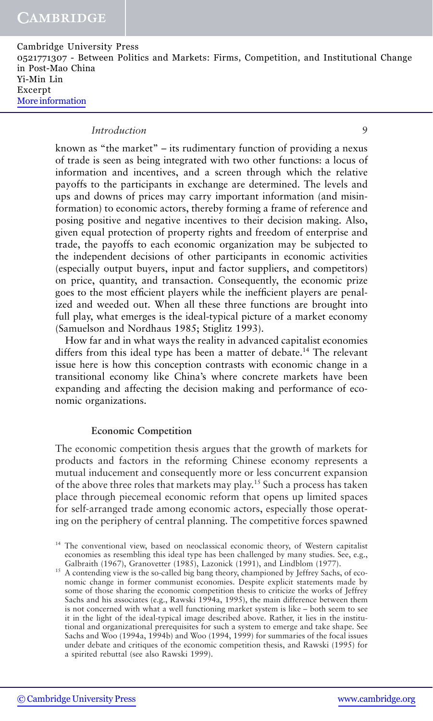#### *Introduction* 9

known as "the market" – its rudimentary function of providing a nexus of trade is seen as being integrated with two other functions: a locus of information and incentives, and a screen through which the relative payoffs to the participants in exchange are determined. The levels and ups and downs of prices may carry important information (and misinformation) to economic actors, thereby forming a frame of reference and posing positive and negative incentives to their decision making. Also, given equal protection of property rights and freedom of enterprise and trade, the payoffs to each economic organization may be subjected to the independent decisions of other participants in economic activities (especially output buyers, input and factor suppliers, and competitors) on price, quantity, and transaction. Consequently, the economic prize goes to the most efficient players while the inefficient players are penalized and weeded out. When all these three functions are brought into full play, what emerges is the ideal-typical picture of a market economy (Samuelson and Nordhaus 1985; Stiglitz 1993).

How far and in what ways the reality in advanced capitalist economies differs from this ideal type has been a matter of debate.<sup>14</sup> The relevant issue here is how this conception contrasts with economic change in a transitional economy like China's where concrete markets have been expanding and affecting the decision making and performance of economic organizations.

### **Economic Competition**

The economic competition thesis argues that the growth of markets for products and factors in the reforming Chinese economy represents a mutual inducement and consequently more or less concurrent expansion of the above three roles that markets may play.15 Such a process has taken place through piecemeal economic reform that opens up limited spaces for self-arranged trade among economic actors, especially those operating on the periphery of central planning. The competitive forces spawned

<sup>&</sup>lt;sup>14</sup> The conventional view, based on neoclassical economic theory, of Western capitalist economies as resembling this ideal type has been challenged by many studies. See, e.g., Galbraith (1967), Granovetter (1985), Lazonick (1991), and Lindblom (1977).

<sup>&</sup>lt;sup>15</sup> A contending view is the so-called big bang theory, championed by Jeffrey Sachs, of economic change in former communist economies. Despite explicit statements made by some of those sharing the economic competition thesis to criticize the works of Jeffrey Sachs and his associates (e.g., Rawski 1994a, 1995), the main difference between them is not concerned with what a well functioning market system is like – both seem to see it in the light of the ideal-typical image described above. Rather, it lies in the institutional and organizational prerequisites for such a system to emerge and take shape. See Sachs and Woo  $(1994a, 1994b)$  and Woo  $(1994, 1999)$  for summaries of the focal issues under debate and critiques of the economic competition thesis, and Rawski (1995) for a spirited rebuttal (see also Rawski 1999).